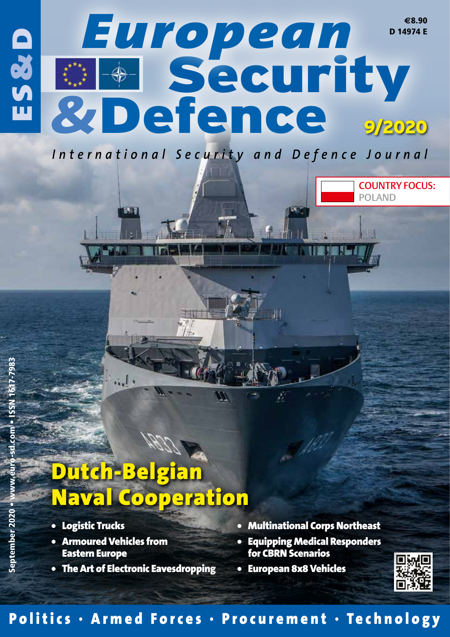

# Dutch-Belgian Naval Cooperation

 $\overline{31}$ 

- Logistic Trucks
- Armoured Vehicles from Eastern Europe
- The Art of Electronic Eavesdropping
- Multinational Corps Northeast
- Equipping Medical Responders for CBRN Scenarios
- European 8x8 Vehicles



COUNTRY FOCUS:

POLAND

### Politics · Armed Forces · Procurement · Technology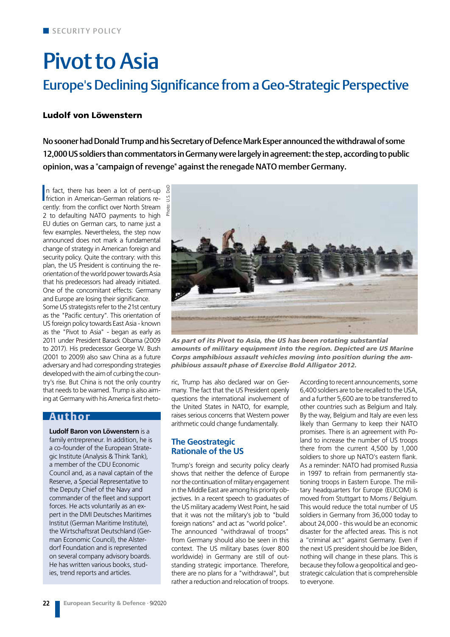## Pivot to Asia Europe's Declining Significance from a Geo-Strategic Perspective

### Ludolf von Löwenstern

No sooner had Donald Trump and his Secretary of Defence Mark Esper announced the withdrawal of some 12,000 US soldiers than commentators in Germany were largely in agreement: the step, according to public opinion, was a "campaign of revenge" against the renegade NATO member Germany.

In fact, there has been a lot of pent-up<br>friction in American-German relations ren fact, there has been a lot of pent-up cently: from the conflict over North Stream 2 to defaulting NATO payments to high EU duties on German cars, to name just a few examples. Nevertheless, the step now announced does not mark a fundamental change of strategy in American foreign and security policy. Quite the contrary: with this plan, the US President is continuing the reorientation of the world power towards Asia that his predecessors had already initiated. One of the concomitant effects: Germany and Europe are losing their significance.

Some US strategists refer to the 21st century as the "Pacific century". This orientation of US foreign policy towards East Asia - known as the "Pivot to Asia" - began as early as 2011 under President Barack Obama (2009 to 2017). His predecessor George W. Bush (2001 to 2009) also saw China as a future adversary and had corresponding strategies developed with the aim of curbing the country's rise. But China is not the only country that needs to be warned. Trump is also aiming at Germany with his America first rheto-

### Author

**Ludolf Baron von Löwenstern** is a family entrepreneur. In addition, he is a co-founder of the European Strategic Institute (Analysis & Think Tank), a member of the CDU Economic Council and, as a naval captain of the Reserve, a Special Representative to the Deputy Chief of the Navy and commander of the fleet and support forces. He acts voluntarily as an expert in the DMI Deutsches Maritimes Institut (German Maritime Institute), the Wirtschaftsrat Deutschland (German Economic Council), the Alsterdorf Foundation and is represented on several company advisory boards. He has written various books, studies, trend reports and articles.



*As part of its Pivot to Asia, the US has been rotating substantial amounts of military equipment into the region. Depicted are US Marine Corps amphibious assault vehicles moving into position during the amphibious assault phase of Exercise Bold Alligator 2012.*

ric, Trump has also declared war on Germany. The fact that the US President openly questions the international involvement of the United States in NATO, for example, raises serious concerns that Western power arithmetic could change fundamentally.

### **The Geostrategic Rationale of the US**

Trump's foreign and security policy clearly shows that neither the defence of Europe nor the continuation of military engagement in the Middle East are among his priority objectives. In a recent speech to graduates of the US military academy West Point, he said that it was not the military's job to "build foreign nations" and act as "world police". The announced "withdrawal of troops" from Germany should also be seen in this context. The US military bases (over 800 worldwide) in Germany are still of outstanding strategic importance. Therefore, there are no plans for a "withdrawal", but rather a reduction and relocation of troops.

According to recent announcements, some 6,400 soldiers are to be recalled to the USA, and a further 5,600 are to be transferred to other countries such as Belgium and Italy. By the way, Belgium and Italy are even less likely than Germany to keep their NATO promises. There is an agreement with Poland to increase the number of US troops there from the current 4,500 by 1,000 soldiers to shore up NATO's eastern flank. As a reminder: NATO had promised Russia in 1997 to refrain from permanently stationing troops in Eastern Europe. The military headquarters for Europe (EUCOM) is moved from Stuttgart to Moms / Belgium. This would reduce the total number of US soldiers in Germany from 36,000 today to about 24,000 - this would be an economic disaster for the affected areas. This is not a "criminal act" against Germany. Even if the next US president should be Joe Biden, nothing will change in these plans. This is because they follow a geopolitical and geostrategic calculation that is comprehensible to everyone.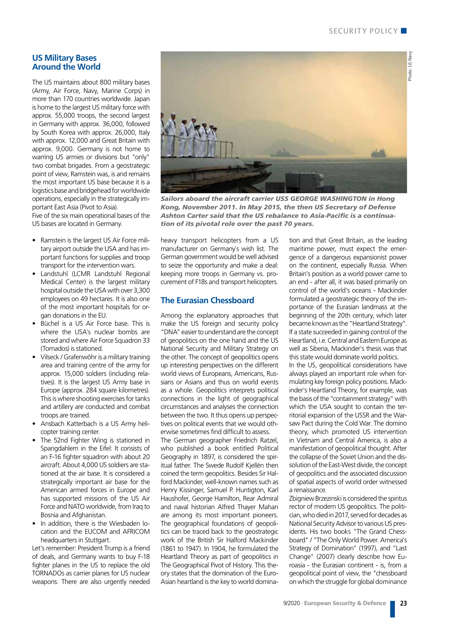### Photo: US Navy Photo: US Navy

**US Military Bases Around the World**

The US maintains about 800 military bases (Army, Air Force, Navy, Marine Corps) in more than 170 countries worldwide. Japan is home to the largest US military force with approx. 55,000 troops, the second largest in Germany with approx. 36,000, followed by South Korea with approx. 26,000, Italy with approx. 12,000 and Great Britain with approx. 9,000. Germany is not home to warring US armies or divisions but "only" two combat brigades. From a geostrategic point of view, Ramstein was, is and remains the most important US base because it is a logistics base and bridgehead for worldwide operations, especially in the strategically important East Asia (Pivot to Asia).

Five of the six main operational bases of the US bases are located in Germany.

- Ramstein is the largest US Air Force military airport outside the USA and has important functions for supplies and troop transport for the intervention wars.
- Landstuhl (LCMR Landstuhl Regional Medical Center) is the largest military hospital outside the USA with over 3,300 employees on 49 hectares. It is also one of the most important hospitals for organ donations in the EU.
- Büchel is a US Air Force base. This is where the USA's nuclear bombs are stored and where Air Force Squadron 33 (Tornados) is stationed.
- Vilseck / Grafenwöhr is a military training area and training centre of the army for approx. 15,000 soldiers (including relatives). It is the largest US Army base in Europe (approx. 284 square kilometres). This is where shooting exercises for tanks and artillery are conducted and combat troops are trained.
- Ansbach Katterbach is a US Army helicopter training center.
- The 52nd Fighter Wing is stationed in Spangdahlem in the Eifel: It consists of an F-16 fighter squadron with about 20 aircraft. About 4,000 US soldiers are stationed at the air base. It is considered a strategically important air base for the American armed forces in Europe and has supported missions of the US Air Force and NATO worldwide, from Iraq to Bosnia and Afghanistan.
- In addition, there is the Wiesbaden location and the EUCOM and AFRICOM headquarters in Stuttgart.

Let's remember: President Trump is a friend of deals, and Germany wants to buy F-18 fighter planes in the US to replace the old TORNADOs as carrier planes for US nuclear weapons. There are also urgently needed



*Sailors aboard the aircraft carrier USS GEORGE WASHINGTON in Hong Kong, November 2011. In May 2015, the then US Secretary of Defense Ashton Carter said that the US rebalance to Asia-Pacific is a continuation of its pivotal role over the past 70 years.*

heavy transport helicopters from a US manufacturer on Germany`s wish list. The German government would be well advised to seize the opportunity and make a deal: keeping more troops in Germany vs. procurement of F18s and transport helicopters.

#### **The Eurasian Chessboard**

Among the explanatory approaches that make the US foreign and security policy "DNA" easier to understand are the concept of geopolitics on the one hand and the US National Security and Military Strategy on the other. The concept of geopolitics opens up interesting perspectives on the different world views of Europeans, Americans, Russians or Asians and thus on world events as a whole. Geopolitics interprets political connections in the light of geographical circumstances and analyses the connection between the two. It thus opens up perspectives on political events that we would otherwise sometimes find difficult to assess.

The German geographer Friedrich Ratzel, who published a book entitled Political Geography in 1897, is considered the spiritual father. The Swede Rudolf Kiellén then coined the term geopolitics. Besides Sir Halford Mackinder, well-known names such as Henry Kissinger, Samuel P. Huntigton, Karl Haushofer, George Hamilton, Rear Admiral and naval historian Alfred Thayer Mahan are among its most important pioneers. The geographical foundations of geopolitics can be traced back to the geostrategic work of the British Sir Halford Mackinder (1861 to 1947). In 1904, he formulated the Heartland Theory as part of geopolitics in The Geographical Pivot of History. This theory states that the domination of the Euro-Asian heartland is the key to world domination and that Great Britain, as the leading maritime power, must expect the emergence of a dangerous expansionist power on the continent, especially Russia. When Britain's position as a world power came to an end - after all, it was based primarily on control of the world's oceans - Mackinder formulated a geostrategic theory of the importance of the Eurasian landmass at the beginning of the 20th century, which later became known as the "Heartland Strategy". If a state succeeded in gaining control of the Heartland, i.e. Central and Eastern Europe as well as Siberia, Mackinder's thesis was that this state would dominate world politics.

In the US, geopolitical considerations have always played an important role when formulating key foreign policy positions. Mackinder's Heartland Theory, for example, was the basis of the "containment strategy" with which the USA sought to contain the territorial expansion of the USSR and the Warsaw Pact during the Cold War. The domino theory, which promoted US intervention in Vietnam and Central America, is also a manifestation of geopolitical thought. After the collapse of the Soviet Union and the dissolution of the East-West divide, the concept of geopolitics and the associated discussion of spatial aspects of world order witnessed a renaissance.

Zbigniew Brzezinski is considered the spiritus rector of modern US geopolitics. The politician, who died in 2017, served for decades as National Security Advisor to various US presidents. His two books "The Grand Chessboard" / "The Only World Power. America's Strategy of Domination" (1997), and "Last Change" (2007) clearly describe how Euroasia - the Eurasian continent - is, from a geopolitical point of view, the "chessboard on which the struggle for global dominance